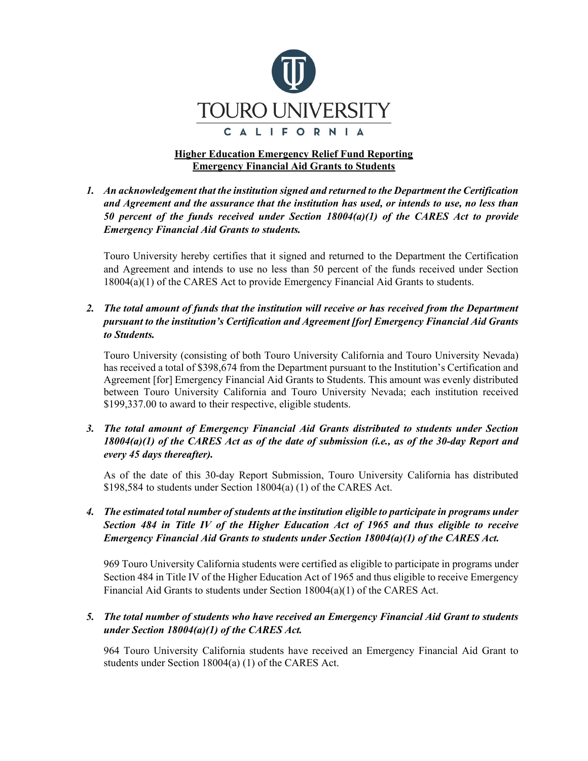

# **Higher Education Emergency Relief Fund Reporting Emergency Financial Aid Grants to Students**

*1. An acknowledgement that the institution signed and returned to the Department the Certification and Agreement and the assurance that the institution has used, or intends to use, no less than 50 percent of the funds received under Section 18004(a)(1) of the CARES Act to provide Emergency Financial Aid Grants to students.*

Touro University hereby certifies that it signed and returned to the Department the Certification and Agreement and intends to use no less than 50 percent of the funds received under Section 18004(a)(1) of the CARES Act to provide Emergency Financial Aid Grants to students.

### *2. The total amount of funds that the institution will receive or has received from the Department pursuant to the institution's Certification and Agreement [for] Emergency Financial Aid Grants to Students.*

Touro University (consisting of both Touro University California and Touro University Nevada) has received a total of \$398,674 from the Department pursuant to the Institution's Certification and Agreement [for] Emergency Financial Aid Grants to Students. This amount was evenly distributed between Touro University California and Touro University Nevada; each institution received \$199,337.00 to award to their respective, eligible students.

### *3. The total amount of Emergency Financial Aid Grants distributed to students under Section 18004(a)(1) of the CARES Act as of the date of submission (i.e., as of the 30-day Report and every 45 days thereafter).*

As of the date of this 30-day Report Submission, Touro University California has distributed \$198,584 to students under Section 18004(a) (1) of the CARES Act.

### *4. The estimated total number of students at the institution eligible to participate in programs under Section 484 in Title IV of the Higher Education Act of 1965 and thus eligible to receive Emergency Financial Aid Grants to students under Section 18004(a)(1) of the CARES Act.*

969 Touro University California students were certified as eligible to participate in programs under Section 484 in Title IV of the Higher Education Act of 1965 and thus eligible to receive Emergency Financial Aid Grants to students under Section 18004(a)(1) of the CARES Act.

### *5. The total number of students who have received an Emergency Financial Aid Grant to students under Section 18004(a)(1) of the CARES Act.*

964 Touro University California students have received an Emergency Financial Aid Grant to students under Section 18004(a) (1) of the CARES Act.